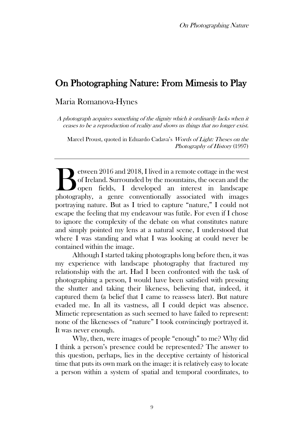# On Photographing Nature: From Mimesis to Play

## Maria Romanova-Hynes

A photograph acquires something of the dignity which it ordinarily lacks when it ceases to be a reproduction of reality and shows us things that no longer exist.

Marcel Proust, quoted in Eduardo Cadava's Words of Light: Theses on the Photography of History (1997)

etween 2016 and 2018, I lived in a remote cottage in the west of Ireland. Surrounded by the mountains, the ocean and the open fields, I developed an interest in landscape Experience 2016 and 2018, I lived in a remote cottage in the west of Ireland. Surrounded by the mountains, the ocean and the open fields, I developed an interest in landscape photography, a genre conventionally associated portraying nature. But as I tried to capture "nature," I could not escape the feeling that my endeavour was futile. For even if I chose to ignore the complexity of the debate on what constitutes nature and simply pointed my lens at a natural scene, I understood that where I was standing and what I was looking at could never be contained within the image.

Although I started taking photographs long before then, it was my experience with landscape photography that fractured my relationship with the art. Had I been confronted with the task of photographing a person, I would have been satisfied with pressing the shutter and taking their likeness, believing that, indeed, it captured them (a belief that I came to reassess later). But nature evaded me. In all its vastness, all I could depict was absence. Mimetic representation as such seemed to have failed to represent: none of the likenesses of "nature" I took convincingly portrayed it. It was never enough.

Why, then, were images of people "enough" to me? Why did I think a person's presence could be represented? The answer to this question, perhaps, lies in the deceptive certainty of historical time that puts its own mark on the image: it is relatively easy to locate a person within a system of spatial and temporal coordinates, to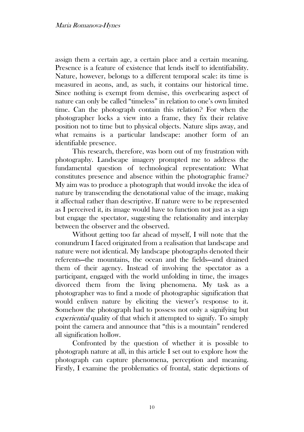assign them a certain age, a certain place and a certain meaning. Presence is a feature of existence that lends itself to identifiability. Nature, however, belongs to a different temporal scale: its time is measured in aeons, and, as such, it contains our historical time. Since nothing is exempt from demise, this overbearing aspect of nature can only be called "timeless" in relation to one's own limited time. Can the photograph contain this relation? For when the photographer locks a view into a frame, they fix their relative position not to time but to physical objects. Nature slips away, and what remains is a particular landscape: another form of an identifiable presence.

This research, therefore, was born out of my frustration with photography. Landscape imagery prompted me to address the fundamental question of technological representation: What constitutes presence and absence within the photographic frame? My aim was to produce a photograph that would invoke the idea of nature by transcending the denotational value of the image, making it affectual rather than descriptive. If nature were to be represented as I perceived it, its image would have to function not just as a sign but engage the spectator, suggesting the relationality and interplay between the observer and the observed.

Without getting too far ahead of myself, I will note that the conundrum I faced originated from a realisation that landscape and nature were not identical. My landscape photographs denoted their referents—the mountains, the ocean and the fields—and drained them of their agency. Instead of involving the spectator as a participant, engaged with the world unfolding in time, the images divorced them from the living phenomena. My task as a photographer was to find a mode of photographic signification that would enliven nature by eliciting the viewer's response to it. Somehow the photograph had to possess not only a signifying but experiential quality of that which it attempted to signify. To simply point the camera and announce that "this is a mountain" rendered all signification hollow.

Confronted by the question of whether it is possible to photograph nature at all, in this article I set out to explore how the photograph can capture phenomena, perception and meaning. Firstly, I examine the problematics of frontal, static depictions of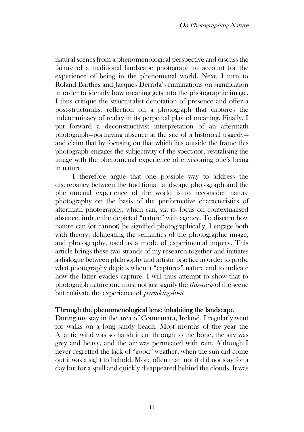natural scenes from a phenomenological perspective and discuss the failure of a traditional landscape photograph to account for the experience of being in the phenomenal world. Next, I turn to Roland Barthes and Jacques Derrida's ruminations on signification in order to identify how meaning gets into the photographic image. I thus critique the structuralist denotation of presence and offer a post-structuralist reflection on a photograph that captures the indeterminacy of reality in its perpetual play of meaning. Finally, I put forward a deconstructivist interpretation of an aftermath photograph—portraying absence at the site of a historical tragedy and claim that by focusing on that which lies outside the frame this photograph engages the subjectivity of the spectator, revitalising the image with the phenomenal experience of envisioning one's being in nature.

I therefore argue that one possible way to address the discrepancy between the traditional landscape photograph and the phenomenal experience of the world is to reconsider nature photography on the basis of the performative characteristics of aftermath photography, which can, via its focus on contextualised absence, imbue the depicted "nature" with agency. To discern how nature can (or cannot) be signified photographically, I engage both with theory, delineating the semantics of the photographic image, and photography, used as a mode of experimental inquiry. This article brings these two strands of my research together and initiates a dialogue between philosophy and artistic practice in order to probe what photography depicts when it "captures" nature and to indicate how the latter evades capture. I will thus attempt to show that to photograph nature one must not just signify the this-ness of the scene but cultivate the experience of partaking-in-it.

## Through the phenomenological lens: inhabiting the landscape

During my stay in the area of Connemara, Ireland, I regularly went for walks on a long sandy beach. Most months of the year the Atlantic wind was so harsh it cut through to the bone, the sky was grey and heavy, and the air was permeated with rain. Although I never regretted the lack of "good" weather, when the sun did come out it was a sight to behold. More often than not it did not stay for a day but for a spell and quickly disappeared behind the clouds. It was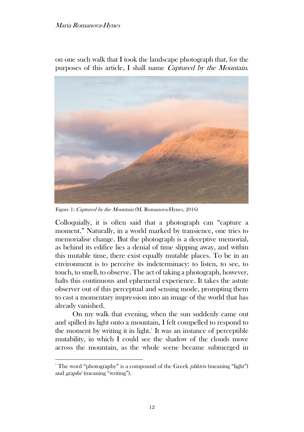#### Maria Romanova-Hynes

on one such walk that I took the landscape photograph that, for the purposes of this article, I shall name Captured by the Mountain.



Figure 1: Captured by the Mountain (M. Romanova-Hynes, 2016)

Colloquially, it is often said that a photograph can "capture a moment." Naturally, in a world marked by transience, one tries to memorialise change. But the photograph is a deceptive memorial, as behind its edifice lies a denial of time slipping away, and within this mutable time, there exist equally mutable places. To be in an environment is to perceive its indeterminacy: to listen, to see, to touch, to smell, to observe. The act of taking a photograph, however, halts this continuous and ephemeral experience. It takes the astute observer out of this perceptual and sensing mode, prompting them to cast a momentary impression into an image of the world that has already vanished.

On my walk that evening, when the sun suddenly came out and spilled its light onto a mountain, I felt compelled to respond to the moment by writing it in light.<sup>1</sup> It was an instance of perceptible mutability, in which I could see the shadow of the clouds move across the mountain, as the whole scene became submerged in

<sup>&</sup>lt;sup>1</sup> The word "photography" is a compound of the Greek *photos* (meaning "light") and graphé (meaning "writing").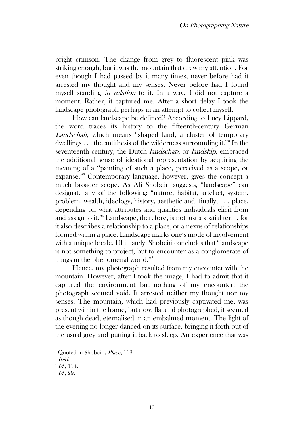bright crimson. The change from grey to fluorescent pink was striking enough, but it was the mountain that drew my attention. For even though I had passed by it many times, never before had it arrested my thought and my senses. Never before had I found myself standing in relation to it. In a way, I did not capture a moment. Rather, it captured me. After a short delay I took the landscape photograph perhaps in an attempt to collect myself.

How can landscape be defined? According to Lucy Lippard, the word traces its history to the fifteenth-century German Landschaft, which means "shaped land, a cluster of temporary dwellings  $\dots$  the antithesis of the wilderness surrounding it."<sup>2</sup> In the seventeenth century, the Dutch landschap, or landskip, embraced the additional sense of ideational representation by acquiring the meaning of a "painting of such a place, perceived as a scope, or expanse."<sup>3</sup> Contemporary language, however, gives the concept a much broader scope. As Ali Shobeiri suggests, "landscape" can designate any of the following: "nature, habitat, artefact, system, problem, wealth, ideology, history, aesthetic and, finally, . . . place, depending on what attributes and qualities individuals elicit from and assign to it."<sup>4</sup> Landscape, therefore, is not just a spatial term, for it also describes a relationship to a place, or a nexus of relationships formed within a place. Landscape marks one's mode of involvement with a unique locale. Ultimately, Shobeiri concludes that "landscape" is not something to project, but to encounter as a conglomerate of things in the phenomenal world." $5$ 

Hence, my photograph resulted from my encounter with the mountain. However, after I took the image, I had to admit that it captured the environment but nothing of my encounter: the photograph seemed void. It arrested neither my thought nor my senses. The mountain, which had previously captivated me, was present within the frame, but now, flat and photographed, it seemed as though dead, eternalised in an embalmed moment. The light of the evening no longer danced on its surface, bringing it forth out of the usual grey and putting it back to sleep. An experience that was

<sup>&</sup>lt;sup>2</sup> Quoted in Shobeiri, *Place*, 113.

 $^{\circ}$  Ibid.

 $^4$  Id., 114.

 $^{\circ}$  Id., 29.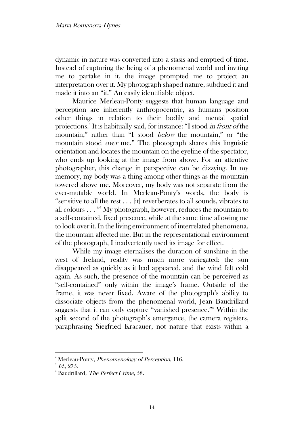dynamic in nature was converted into a stasis and emptied of time. Instead of capturing the being of a phenomenal world and inviting me to partake in it, the image prompted me to project an interpretation over it. My photograph shaped nature, subdued it and made it into an "it." An easily identifiable object.

Maurice Merleau-Ponty suggests that human language and perception are inherently anthropocentric, as humans position other things in relation to their bodily and mental spatial projections.<sup>6</sup> It is habitually said, for instance: "I stood *in front of* the mountain," rather than "I stood *below* the mountain," or "the mountain stood over me." The photograph shares this linguistic orientation and locates the mountain on the eyeline of the spectator, who ends up looking at the image from above. For an attentive photographer, this change in perspective can be dizzying. In my memory, my body was a thing among other things as the mountain towered above me. Moreover, my body was not separate from the ever-mutable world. In Merleau-Ponty's words, the body is "sensitive to all the rest . . . [it] reverberates to all sounds, vibrates to all colours . . . " <sup>7</sup> My photograph, however, reduces the mountain to a self-contained, fixed presence, while at the same time allowing me to look over it. In the living environment of interrelated phenomena, the mountain affected me. But in the representational environment of the photograph, I inadvertently used its image for effect.

While my image eternalises the duration of sunshine in the west of Ireland, reality was much more variegated: the sun disappeared as quickly as it had appeared, and the wind felt cold again. As such, the presence of the mountain can be perceived as "self-contained" only within the image's frame. Outside of the frame, it was never fixed. Aware of the photograph's ability to dissociate objects from the phenomenal world, Jean Baudrillard suggests that it can only capture "vanished presence."<sup>8</sup> Within the split second of the photograph's emergence, the camera registers, paraphrasing Siegfried Kracauer, not nature that exists within a

<sup>&</sup>lt;sup>6</sup> Merleau-Ponty, *Phenomenology of Perception*, 116.

 $^7$  Id., 275.

<sup>&</sup>lt;sup>8</sup> Baudrillard, *The Perfect Crime*, 58.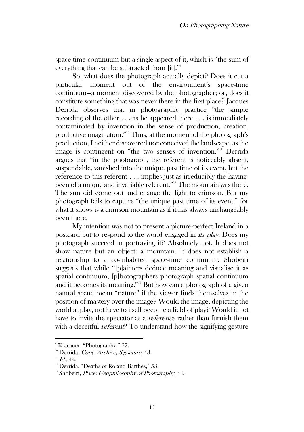space-time continuum but a single aspect of it, which is "the sum of everything that can be subtracted from [it]."<sup>9</sup>

So, what does the photograph actually depict? Does it cut a particular moment out of the environment's space-time continuum—a moment discovered by the photographer; or, does it constitute something that was never there in the first place? Jacques Derrida observes that in photographic practice "the simple recording of the other . . . as he appeared there . . . is immediately contaminated by invention in the sense of production, creation, productive imagination."<sup>10</sup> Thus, at the moment of the photograph's production, I neither discovered nor conceived the landscape, as the image is contingent on "the two senses of invention."<sup>11</sup> Derrida argues that "in the photograph, the referent is noticeably absent, suspendable, vanished into the unique past time of its event, but the reference to this referent . . . implies just as irreducibly the havingbeen of a unique and invariable referent."<sup>12</sup> The mountain was there. The sun did come out and change the light to crimson. But my photograph fails to capture "the unique past time of its event," for what it shows is a crimson mountain as if it has always unchangeably been there.

My intention was not to present a picture-perfect Ireland in a postcard but to respond to the world engaged in its play. Does my photograph succeed in portraying it? Absolutely not. It does not show nature but an object: a mountain. It does not establish a relationship to a co-inhabited space-time continuum. Shobeiri suggests that while "[p]ainters deduce meaning and visualise it as spatial continuum, [p]hotographers photograph spatial continuum and it becomes its meaning."<sup>13</sup> But how can a photograph of a given natural scene mean "nature" if the viewer finds themselves in the position of mastery over the image? Would the image, depicting the world at play, not have to itself become a field of play? Would it not have to invite the spectator as a *reference* rather than furnish them with a deceitful *referent*? To understand how the signifying gesture

<sup>9</sup> Kracauer, "Photography," 37.

<sup>&</sup>lt;sup>10</sup> Derrida, Copy, Archive, Signature,  $43$ .

 $11$  Id., 44.

<sup>&</sup>lt;sup>12</sup> Derrida, "Deaths of Roland Barthes," 53.

 $13$  Shobeiri, *Place: Geophilosophy of Photography*, 44.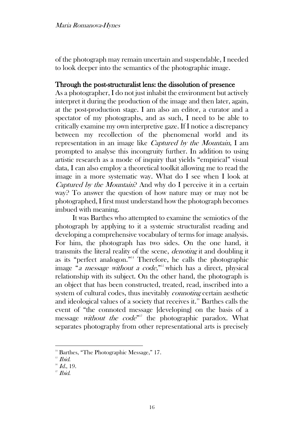of the photograph may remain uncertain and suspendable, I needed to look deeper into the semantics of the photographic image.

## Through the post-structuralist lens: the dissolution of presence

As a photographer, I do not just inhabit the environment but actively interpret it during the production of the image and then later, again, at the post-production stage. I am also an editor, a curator and a spectator of my photographs, and as such, I need to be able to critically examine my own interpretive gaze. If I notice a discrepancy between my recollection of the phenomenal world and its representation in an image like Captured by the Mountain, I am prompted to analyse this incongruity further. In addition to using artistic research as a mode of inquiry that yields "empirical" visual data, I can also employ a theoretical toolkit allowing me to read the image in a more systematic way. What do I see when I look at Captured by the Mountain? And why do I perceive it in a certain way? To answer the question of how nature may or may not be photographed, I first must understand how the photograph becomes imbued with meaning.

It was Barthes who attempted to examine the semiotics of the photograph by applying to it a systemic structuralist reading and developing a comprehensive vocabulary of terms for image analysis. For him, the photograph has two sides. On the one hand, it transmits the literal reality of the scene, denoting it and doubling it as its "perfect analogon."<sup>14</sup> Therefore, he calls the photographic image "a message without a code,"<sup>15</sup> which has a direct, physical relationship with its subject. On the other hand, the photograph is an object that has been constructed, treated, read, inscribed into a system of cultural codes, thus inevitably connoting certain aesthetic and ideological values of a society that receives it.<sup>16</sup> Barthes calls the event of "the connoted message [developing] on the basis of a message *without the code*<sup>"</sup> the photographic paradox. What separates photography from other representational arts is precisely

 $14$  Barthes, "The Photographic Message," 17.

 $15$  *Ibid.* 

 $16$  Id., 19.

 $17$  Ibid.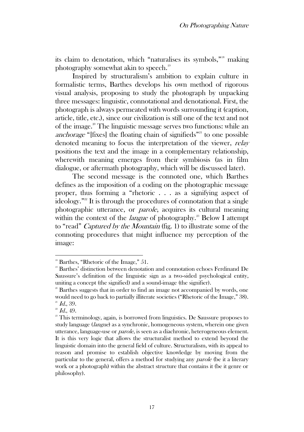its claim to denotation, which "naturalises its symbols,"<sup>18</sup> making photography somewhat akin to speech.<sup>19</sup>

Inspired by structuralism's ambition to explain culture in formalistic terms, Barthes develops his own method of rigorous visual analysis, proposing to study the photograph by unpacking three messages: linguistic, connotational and denotational. First, the photograph is always permeated with words surrounding it (caption, article, title, etc.), since our civilization is still one of the text and not of the image.<sup>20</sup> The linguistic message serves two functions: while an anchorage " $[fixes]$  the floating chain of signifieds"<sup>21</sup> to one possible denoted meaning to focus the interpretation of the viewer, relay positions the text and the image in a complementary relationship, wherewith meaning emerges from their symbiosis (as in film dialogue, or aftermath photography, which will be discussed later).

The second message is the connoted one, which Barthes defines as the imposition of a coding on the photographic message proper, thus forming a "rhetoric . . . as a signifying aspect of ideology."<sup>22</sup> It is through the procedures of connotation that a single photographic utterance, or parole, acquires its cultural meaning within the context of the *langue* of photography.<sup>23</sup> Below I attempt to "read" Captured by the Mountain (fig. 1) to illustrate some of the connoting procedures that might influence my perception of the image:

 $18$  Barthes, "Rhetoric of the Image," 51.

<sup>&</sup>lt;sup>19</sup> Barthes' distinction between denotation and connotation echoes Ferdinand De Saussure's definition of the linguistic sign as a two-sided psychological entity, uniting a concept (the signified) and a sound-image (the signifier).

<sup>&</sup>lt;sup>20</sup> Barthes suggests that in order to find an image not accompanied by words, one would need to go back to partially illiterate societies ("Rhetoric of the Image," 38).  $^{21}$  *Id.*, 39.

 $22$  Id., 49.

<sup>&</sup>lt;sup>23</sup> This terminology, again, is borrowed from linguistics. De Saussure proposes to study language (langue) as a synchronic, homogeneous system, wherein one given utterance, language-use or parole, is seen as a diachronic, heterogeneous element. It is this very logic that allows the structuralist method to extend beyond the linguistic domain into the general field of culture. Structuralism, with its appeal to reason and promise to establish objective knowledge by moving from the particular to the general, offers a method for studying any parole (be it a literary work or a photograph) within the abstract structure that contains it (be it genre or philosophy).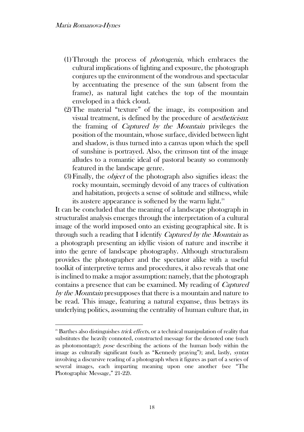- (1)Through the process of photogenia, which embraces the cultural implications of lighting and exposure, the photograph conjures up the environment of the wondrous and spectacular by accentuating the presence of the sun (absent from the frame), as natural light catches the top of the mountain enveloped in a thick cloud.
- (2)The material "texture" of the image, its composition and visual treatment, is defined by the procedure of aestheticism: the framing of Captured by the Mountain privileges the position of the mountain, whose surface, divided between light and shadow, is thus turned into a canvas upon which the spell of sunshine is portrayed. Also, the crimson tint of the image alludes to a romantic ideal of pastoral beauty so commonly featured in the landscape genre.
- (3)Finally, the object of the photograph also signifies ideas: the rocky mountain, seemingly devoid of any traces of cultivation and habitation, projects a sense of solitude and stillness, while its austere appearance is softened by the warm light. $24$

It can be concluded that the meaning of a landscape photograph in structuralist analysis emerges through the interpretation of a cultural image of the world imposed onto an existing geographical site. It is through such a reading that I identify *Captured by the Mountain* as a photograph presenting an idyllic vision of nature and inscribe it into the genre of landscape photography. Although structuralism provides the photographer and the spectator alike with a useful toolkit of interpretive terms and procedures, it also reveals that one is inclined to make a major assumption: namely, that the photograph contains a presence that can be examined. My reading of Captured by the Mountain presupposes that there is a mountain and nature to be read. This image, featuring a natural expanse, thus betrays its underlying politics, assuming the centrality of human culture that, in

 $24$  Barthes also distinguishes *trick effects*, or a technical manipulation of reality that substitutes the heavily connoted, constructed message for the denoted one (such as photomontage); pose describing the actions of the human body within the image as culturally significant (such as "Kennedy praying"); and, lastly, syntax involving a discursive reading of a photograph when it figures as part of a series of several images, each imparting meaning upon one another (see "The Photographic Message," 21-22).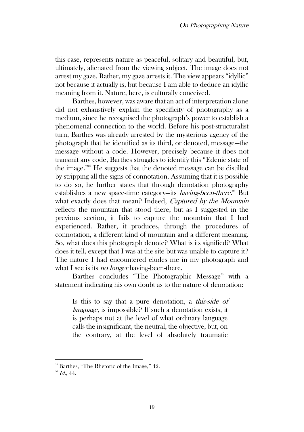this case, represents nature as peaceful, solitary and beautiful, but, ultimately, alienated from the viewing subject. The image does not arrest my gaze. Rather, my gaze arrests it. The view appears "idyllic" not because it actually is, but because I am able to deduce an idyllic meaning from it. Nature, here, is culturally conceived.

Barthes, however, was aware that an act of interpretation alone did not exhaustively explain the specificity of photography as a medium, since he recognised the photograph's power to establish a phenomenal connection to the world. Before his post-structuralist turn, Barthes was already arrested by the mysterious agency of the photograph that he identified as its third, or denoted, message—the message without a code. However, precisely because it does not transmit any code, Barthes struggles to identify this "Edenic state of the image."<sup>25</sup> He suggests that the denoted message can be distilled by stripping all the signs of connotation. Assuming that it is possible to do so, he further states that through denotation photography establishes a new space-time category—its *having-been-there.*<sup>26</sup> But what exactly does that mean? Indeed, *Captured by the Mountain* reflects the mountain that stood there, but as I suggested in the previous section, it fails to capture the mountain that I had experienced. Rather, it produces, through the procedures of connotation, a different kind of mountain and a different meaning. So, what does this photograph denote? What is its signified? What does it tell, except that I was at the site but was unable to capture it? The nature I had encountered eludes me in my photograph and what I see is its *no longer* having-been-there.

Barthes concludes "The Photographic Message" with a statement indicating his own doubt as to the nature of denotation:

Is this to say that a pure denotation, a this-side of language, is impossible? If such a denotation exists, it is perhaps not at the level of what ordinary language calls the insignificant, the neutral, the objective, but, on the contrary, at the level of absolutely traumatic

 $25$  Barthes, "The Rhetoric of the Image," 42.

 $26$  *Id.*, 44.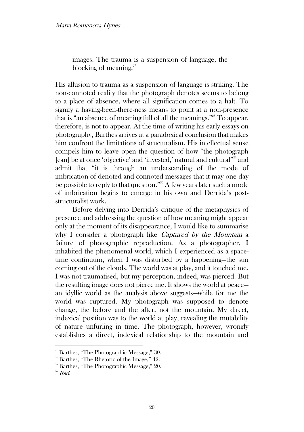images. The trauma is a suspension of language, the blocking of meaning. $27$ 

His allusion to trauma as a suspension of language is striking. The non-connoted reality that the photograph denotes seems to belong to a place of absence, where all signification comes to a halt. To signify a having-been-there-ness means to point at a non-presence that is "an absence of meaning full of all the meanings."<sup>28</sup> To appear, therefore, is not to appear. At the time of writing his early essays on photography, Barthes arrives at a paradoxical conclusion that makes him confront the limitations of structuralism. His intellectual sense compels him to leave open the question of how "the photograph [can] be at once 'objective' and 'invested,' natural and cultural"<sup>29</sup> and admit that "it is through an understanding of the mode of imbrication of denoted and connoted messages that it may one day be possible to reply to that question."<sup>30</sup> A few years later such a mode of imbrication begins to emerge in his own and Derrida's poststructuralist work.

Before delving into Derrida's critique of the metaphysics of presence and addressing the question of how meaning might appear only at the moment of its disappearance, I would like to summarise why I consider a photograph like *Captured by the Mountain* a failure of photographic reproduction. As a photographer, I inhabited the phenomenal world, which I experienced as a spacetime continuum, when I was disturbed by a happening—the sun coming out of the clouds. The world was at play, and it touched me. I was not traumatised, but my perception, indeed, was pierced. But the resulting image does not pierce me. It shows the world at peace an idyllic world as the analysis above suggests—while for me the world was ruptured. My photograph was supposed to denote change, the before and the after, not the mountain. My direct, indexical position was to the world at play, revealing the mutability of nature unfurling in time. The photograph, however, wrongly establishes a direct, indexical relationship to the mountain and

 $2^{\circ}$  Barthes, "The Photographic Message," 30.

 $2^8$  Barthes, "The Rhetoric of the Image," 42.

 $2^{\circ}$  Barthes, "The Photographic Message," 20.

<sup>&</sup>lt;sup>30</sup> Ibid.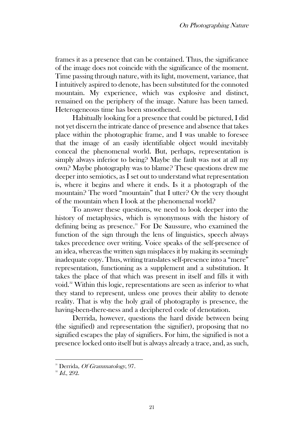frames it as a presence that can be contained. Thus, the significance of the image does not coincide with the significance of the moment. Time passing through nature, with its light, movement, variance, that I intuitively aspired to denote, has been substituted for the connoted mountain. My experience, which was explosive and distinct, remained on the periphery of the image. Nature has been tamed. Heterogeneous time has been smoothened.

Habitually looking for a presence that could be pictured, I did not yet discern the intricate dance of presence and absence that takes place within the photographic frame, and I was unable to foresee that the image of an easily identifiable object would inevitably conceal the phenomenal world. But, perhaps, representation is simply always inferior to being? Maybe the fault was not at all my own? Maybe photography was to blame? These questions drew me deeper into semiotics, as I set out to understand what representation is, where it begins and where it ends. Is it a photograph of the mountain? The word "mountain" that I utter? Or the very thought of the mountain when I look at the phenomenal world?

To answer these questions, we need to look deeper into the history of metaphysics, which is synonymous with the history of defining being as presence.<sup>31</sup> For De Saussure, who examined the function of the sign through the lens of linguistics, speech always takes precedence over writing. Voice speaks of the self-presence of an idea, whereas the written sign misplaces it by making its seemingly inadequate copy. Thus, writing translates self-presence into a "mere" representation, functioning as a supplement and a substitution. It takes the place of that which was present in itself and fills it with void.<sup>32</sup> Within this logic, representations are seen as inferior to what they stand to represent, unless one proves their ability to denote reality. That is why the holy grail of photography is presence, the having-been-there-ness and a deciphered code of denotation.

Derrida, however, questions the hard divide between being (the signified) and representation (the signifier), proposing that no signified escapes the play of signifiers. For him, the signified is not a presence locked onto itself but is always already a trace, and, as such,

<sup>&</sup>lt;sup>31</sup> Derrida, Of Grammatology, 97.

 $^{32}$  Id., 292.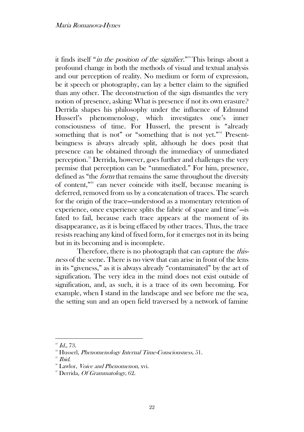it finds itself "in the position of the signifier."<sup>33</sup>This brings about a profound change in both the methods of visual and textual analysis and our perception of reality. No medium or form of expression, be it speech or photography, can lay a better claim to the signified than any other. The deconstruction of the sign dismantles the very notion of presence, asking: What is presence if not its own erasure? Derrida shapes his philosophy under the influence of Edmund Husserl's phenomenology, which investigates one's inner consciousness of time. For Husserl, the present is "already something that is not" or "something that is not yet."<sup>34</sup> Presentbeingness is always already split, although he does posit that presence can be obtained through the immediacy of unmediated perception.<sup>35</sup> Derrida, however, goes further and challenges the very premise that perception can be "unmediated." For him, presence, defined as "the form that remains the same throughout the diversity of content,"<sup>36</sup> can never coincide with itself, because meaning is deferred, removed from us by a concatenation of traces. The search for the origin of the trace—understood as a momentary retention of experience, once experience splits the fabric of space and time $3\degree$  - is fated to fail, because each trace appears at the moment of its disappearance, as it is being effaced by other traces. Thus, the trace resists reaching any kind of fixed form, for it emerges not in its being but in its becoming and is incomplete.

Therefore, there is no photograph that can capture the *this*ness of the scene. There is no view that can arise in front of the lens in its "giveness," as it is always already "contaminated" by the act of signification. The very idea in the mind does not exist outside of signification, and, as such, it is a trace of its own becoming. For example, when I stand in the landscape and see before me the sea, the setting sun and an open field traversed by a network of famine

 $33$  Id., 73.

<sup>&</sup>lt;sup>34</sup> Husserl, *Phenomenology Internal Time-Consciousness*, 51.

 $35$  *Ibid.* 

<sup>&</sup>lt;sup>36</sup> Lawlor, *Voice and Phenomenon*, xvi.

<sup>&</sup>lt;sup>37</sup> Derrida, *Of Grammatology*, 62.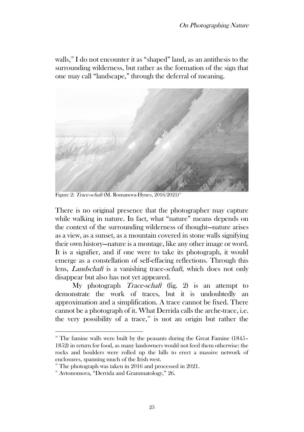walls,<sup>38</sup> I do not encounter it as "shaped" land, as an antithesis to the surrounding wilderness, but rather as the formation of the sign that one may call "landscape," through the deferral of meaning.



Figure 2: Trace-schaft (M. Romanova-Hynes, 2016/2021)<sup>3</sup>

There is no original presence that the photographer may capture while walking in nature. In fact, what "nature" means depends on the context of the surrounding wilderness of thought—nature arises as a view, as a sunset, as a mountain covered in stone walls signifying their own history—nature is a montage, like any other image or word. It is a signifier, and if one were to take its photograph, it would emerge as a constellation of self-effacing reflections. Through this lens, Landschaft is a vanishing trace-schaft, which does not only disappear but also has not yet appeared.

My photograph *Trace-schaft* (fig. 2) is an attempt to demonstrate the work of traces, but it is undoubtedly an approximation and a simplification. A trace cannot be fixed. There cannot be a photograph of it. What Derrida calls the arche-trace, i.e. the very possibility of a trace,<sup>40</sup> is not an origin but rather the

<sup>&</sup>lt;sup>38</sup> The famine walls were built by the peasants during the Great Famine (1845– 1852) in return for food, as many landowners would not feed them otherwise: the rocks and boulders were rolled up the hills to erect a massive network of enclosures, spanning much of the Irish west.

 $\degree$  The photograph was taken in 2016 and processed in 2021.

<sup>40</sup> Avtonomova, "Derrida and Grammatology," 26.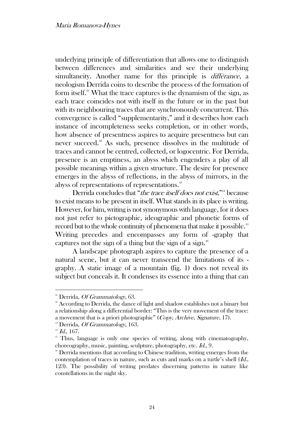underlying principle of differentiation that allows one to distinguish between differences and similarities and see their underlying simultaneity. Another name for this principle is *différance*, a neologism Derrida coins to describe the process of the formation of form itself.<sup>41</sup> What the trace captures is the dynamism of the sign, as each trace coincides not with itself in the future or in the past but with its neighbouring traces that are synchronously concurrent. This convergence is called "supplementarity," and it describes how each instance of incompleteness seeks completion, or in other words, how absence of presentness aspires to acquire presentness but can never succeed.<sup>42</sup> As such, presence dissolves in the multitude of traces and cannot be centred, collected, or logocentric. For Derrida, presence is an emptiness, an abyss which engenders a play of all possible meanings within a given structure. The desire for presence emerges in the abyss of reflections, in the abyss of mirrors, in the abyss of representations of representations.<sup>43</sup>

Derrida concludes that "the trace itself does not exist,"<sup>44</sup> because to exist means to be present in itself. What stands in its place is writing. However, for him, writing is not synonymous with language, for it does not just refer to pictographic, ideographic and phonetic forms of record but to the whole continuity of phenomena that make it possible.<sup>45</sup> Writing precedes and encompasses any form of -graphy that captures not the sign of a thing but the sign of a sign.<sup>46</sup>

A landscape photograph aspires to capture the presence of a natural scene, but it can never transcend the limitations of its graphy. A static image of a mountain (fig. 1) does not reveal its subject but conceals it. It condenses its essence into a thing that can

<sup>&</sup>lt;sup>41</sup> Derrida, *Of Grammatology*, 63.

<sup>&</sup>lt;sup>42</sup> According to Derrida, the dance of light and shadow establishes not a binary but a relationship along a differential border: "This is the very movement of the trace: a movement that is a priori photographic" (Copy, Archive, Signature, 17).

 $48$  Derrida, *Of Grammatology*, 163.

 $44$  Id., 167.

<sup>&</sup>lt;sup>45</sup> Thus, language is only one species of writing, along with cinematography, choreography, music, painting, sculpture, photography, etc. Id., 9.

<sup>&</sup>lt;sup>46</sup> Derrida mentions that according to Chinese tradition, writing emerges from the contemplation of traces in nature, such as cuts and marks on a turtle's shell (Id., 123). The possibility of writing predates discerning patterns in nature like constellations in the night sky.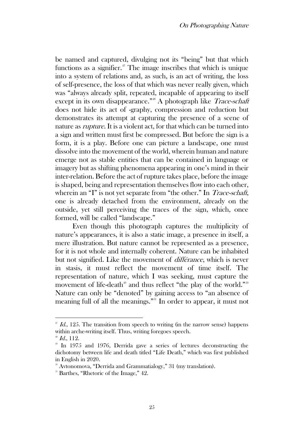be named and captured, divulging not its "being" but that which functions as a signifier.<sup> $\pi$ </sup> The image inscribes that which is unique into a system of relations and, as such, is an act of writing, the loss of self-presence, the loss of that which was never really given, which was "always already split, repeated, incapable of appearing to itself except in its own disappearance."<sup>48</sup> A photograph like *Trace-schaft* does not hide its act of -graphy, compression and reduction but demonstrates its attempt at capturing the presence of a scene of nature as rupture. It is a violent act, for that which can be turned into a sign and written must first be compressed. But before the sign is a form, it is a play. Before one can picture a landscape, one must dissolve into the movement of the world, wherein human and nature emerge not as stable entities that can be contained in language or imagery but as shifting phenomena appearing in one's mind in their inter-relation. Before the act of rupture takes place, before the image is shaped, being and representation themselves flow into each other, wherein an "I" is not yet separate from "the other." In *Trace-schaft*, one is already detached from the environment, already on the outside, yet still perceiving the traces of the sign, which, once formed, will be called "landscape."

Even though this photograph captures the multiplicity of nature's appearances, it is also a static image, a presence in itself, a mere illustration. But nature cannot be represented as a presence, for it is not whole and internally coherent. Nature can be inhabited but not signified. Like the movement of différance, which is never in stasis, it must reflect the movement of time itself. The representation of nature, which I was seeking, must capture the movement of life-death<sup>49</sup> and thus reflect "the play of the world."<sup>50</sup> Nature can only be "denoted" by gaining access to "an absence of meaning full of all the meanings." <sup>51</sup> In order to appear, it must not

 $^{47}$  Id., 125. The transition from speech to writing (in the narrow sense) happens within arche-writing itself. Thus, writing foregoes speech.

 $48$  Id., 112.

 $\mu$ <sup>0</sup> In 1975 and 1976, Derrida gave a series of lectures deconstructing the dichotomy between life and death titled "Life Death," which was first published in English in 2020.

<sup>&</sup>lt;sup>50</sup> Avtonomova, "Derrida and Grammatialogy," 31 (my translation).

 $51$  Barthes, "Rhetoric of the Image,"  $42$ .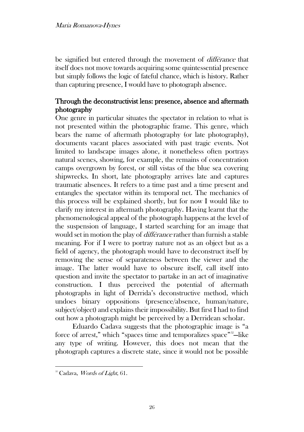be signified but entered through the movement of différance that itself does not move towards acquiring some quintessential presence but simply follows the logic of fateful chance, which is history. Rather than capturing presence, I would have to photograph absence.

## Through the deconstructivist lens: presence, absence and aftermath photography

One genre in particular situates the spectator in relation to what is not presented within the photographic frame. This genre, which bears the name of aftermath photography (or late photography), documents vacant places associated with past tragic events. Not limited to landscape images alone, it nonetheless often portrays natural scenes, showing, for example, the remains of concentration camps overgrown by forest, or still vistas of the blue sea covering shipwrecks. In short, late photography arrives late and captures traumatic absences. It refers to a time past and a time present and entangles the spectator within its temporal net. The mechanics of this process will be explained shortly, but for now I would like to clarify my interest in aftermath photography. Having learnt that the phenomenological appeal of the photograph happens at the level of the suspension of language, I started searching for an image that would set in motion the play of *différance* rather than furnish a stable meaning. For if I were to portray nature not as an object but as a field of agency, the photograph would have to deconstruct itself by removing the sense of separateness between the viewer and the image. The latter would have to obscure itself, call itself into question and invite the spectator to partake in an act of imaginative construction. I thus perceived the potential of aftermath photographs in light of Derrida's deconstructive method, which undoes binary oppositions (presence/absence, human/nature, subject/object) and explains their impossibility. But first I had to find out how a photograph might be perceived by a Derridean scholar.

Eduardo Cadava suggests that the photographic image is "a force of arrest," which "spaces time and temporalizes space"<sup>52</sup>-like any type of writing. However, this does not mean that the photograph captures a discrete state, since it would not be possible

<sup>&</sup>lt;sup>52</sup> Cadava, Words of Light, 61.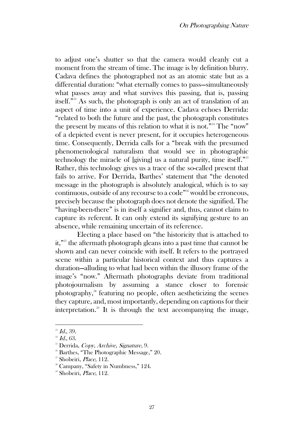to adjust one's shutter so that the camera would cleanly cut a moment from the stream of time. The image is by definition blurry. Cadava defines the photographed not as an atomic state but as a differential duration: "what eternally comes to pass—simultaneously what passes away and what survives this passing, that is, passing itself."<sup>53</sup> As such, the photograph is only an act of translation of an aspect of time into a unit of experience. Cadava echoes Derrida: "related to both the future and the past, the photograph constitutes the present by means of this relation to what it is not."<sup>54</sup> The "now" of a depicted event is never present, for it occupies heterogeneous time. Consequently, Derrida calls for a "break with the presumed phenomenological naturalism that would see in photographic technology the miracle of [giving] us a natural purity, time itself."<sup>55</sup> Rather, this technology gives us a trace of the so-called present that fails to arrive. For Derrida, Barthes' statement that "the denoted message in the photograph is absolutely analogical, which is to say continuous, outside of any recourse to a code"<sup>56</sup> would be erroneous, precisely because the photograph does not denote the signified. The "having-been-there" is in itself a signifier and, thus, cannot claim to capture its referent. It can only extend its signifying gesture to an absence, while remaining uncertain of its reference.

Electing a place based on "the historicity that is attached to it,"<sup>57</sup> the aftermath photograph gleans into a past time that cannot be shown and can never coincide with itself. It refers to the portrayed scene within a particular historical context and thus captures a duration—alluding to what had been within the illusory frame of the image's "now." Aftermath photographs deviate from traditional photojournalism by assuming a stance closer to forensic photography,<sup>58</sup> featuring no people, often aestheticizing the scenes they capture, and, most importantly, depending on captions for their interpretation.<sup>59</sup> It is through the text accompanying the image,

 $^{53}$  *Id.*, 39.

 $^{54}$  Id., 63.

<sup>&</sup>lt;sup>55</sup> Derrida, Copy, Archive, Signature, 9.

 $56$  Barthes, "The Photographic Message," 20.

<sup>57</sup> Shobeiri, Place, 112.

<sup>&</sup>lt;sup>58</sup> Campany, "Safety in Numbness," 124.

<sup>&</sup>lt;sup>59</sup> Shobeiri, *Place*, 112.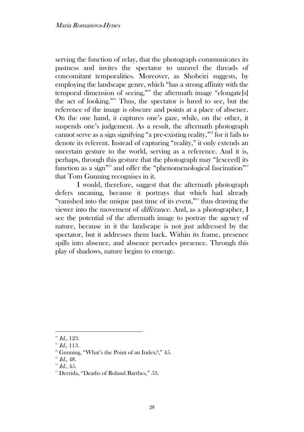serving the function of relay, that the photograph communicates its pastness and invites the spectator to unravel the threads of concomitant temporalities. Moreover, as Shobeiri suggests, by employing the landscape genre, which "has a strong affinity with the temporal dimension of seeing,"<sup>60</sup> the aftermath image "elongate[s] the act of looking." $n<sup>61</sup>$  Thus, the spectator is lured to see, but the reference of the image is obscure and points at a place of absence. On the one hand, it captures one's gaze, while, on the other, it suspends one's judgement. As a result, the aftermath photograph cannot serve as a sign signifying "a pre-existing reality,"<sup>62</sup> for it fails to denote its referent. Instead of capturing "reality," it only extends an uncertain gesture to the world, serving as a reference. And it is, perhaps, through this gesture that the photograph may "[exceed] its function as a sign<sup>"63</sup> and offer the "phenomenological fascination"<sup>64</sup> that Tom Gunning recognises in it.

I would, therefore, suggest that the aftermath photograph defers meaning, because it portrays that which had already "vanished into the unique past time of its event,"<sup>65</sup> thus drawing the viewer into the movement of différance. And, as a photographer, I see the potential of the aftermath image to portray the agency of nature, because in it the landscape is not just addressed by the spectator, but it addresses them back. Within its frame, presence spills into absence, and absence pervades presence. Through this play of shadows, nature begins to emerge.

 $\mathscr{L}$  Id., 123.

 $61$  Id., 113.

 $\textdegree$  Gunning, "What's the Point of an Index?," 45.

 $\mathscr{\mathscr{C}}$  Id., 48.

 $64$  Id., 45.

<sup>&</sup>lt;sup>65</sup> Derrida, "Deaths of Roland Barthes," 53.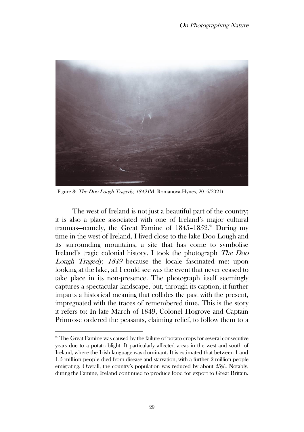

Figure 3: The Doo Lough Tragedy, 1849 (M. Romanova-Hynes, 2016/2021)

The west of Ireland is not just a beautiful part of the country; it is also a place associated with one of Ireland's major cultural traumas–namely, the Great Famine of 1845-1852.<sup>66</sup> During my time in the west of Ireland, I lived close to the lake Doo Lough and its surrounding mountains, a site that has come to symbolise Ireland's tragic colonial history. I took the photograph The Doo Lough Tragedy, 1849 because the locale fascinated me: upon looking at the lake, all I could see was the event that never ceased to take place in its non-presence. The photograph itself seemingly captures a spectacular landscape, but, through its caption, it further imparts a historical meaning that collides the past with the present, impregnated with the traces of remembered time. This is the story it refers to: In late March of 1849, Colonel Hogrove and Captain Primrose ordered the peasants, claiming relief, to follow them to a

 $66$  The Great Famine was caused by the failure of potato crops for several consecutive years due to a potato blight. It particularly affected areas in the west and south of Ireland, where the Irish language was dominant. It is estimated that between 1 and 1.5 million people died from disease and starvation, with a further 2 million people emigrating. Overall, the country's population was reduced by about 25%. Notably, during the Famine, Ireland continued to produce food for export to Great Britain.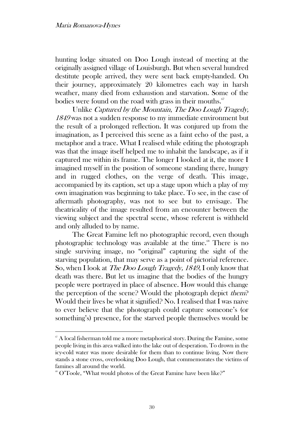hunting lodge situated on Doo Lough instead of meeting at the originally assigned village of Louisburgh. But when several hundred destitute people arrived, they were sent back empty-handed. On their journey, approximately 20 kilometres each way in harsh weather, many died from exhaustion and starvation. Some of the bodies were found on the road with grass in their mouths. $67$ 

Unlike Captured by the Mountain, The Doo Lough Tragedy, <sup>1849</sup> was not a sudden response to my immediate environment but the result of a prolonged reflection. It was conjured up from the imagination, as I perceived this scene as a faint echo of the past, a metaphor and a trace. What I realised while editing the photograph was that the image itself helped me to inhabit the landscape, as if it captured me within its frame. The longer I looked at it, the more I imagined myself in the position of someone standing there, hungry and in rugged clothes, on the verge of death. This image, accompanied by its caption, set up a stage upon which a play of my own imagination was beginning to take place. To see, in the case of aftermath photography, was not to see but to envisage. The theatricality of the image resulted from an encounter between the viewing subject and the spectral scene, whose referent is withheld and only alluded to by name.

The Great Famine left no photographic record, even though photographic technology was available at the time. $68$  There is no single surviving image, no "original" capturing the sight of the starving population, that may serve as a point of pictorial reference. So, when I look at The Doo Lough Tragedy, 1849, I only know that death was there. But let us imagine that the bodies of the hungry people were portrayed in place of absence. How would this change the perception of the scene? Would the photograph depict them? Would their lives be what it signified? No. I realised that I was naive to ever believe that the photograph could capture someone's (or something's) presence, for the starved people themselves would be

 $\sigma$ <sup>7</sup> A local fisherman told me a more metaphorical story. During the Famine, some people living in this area walked into the lake out of desperation. To drown in the icy-cold water was more desirable for them than to continue living. Now there stands a stone cross, overlooking Doo Lough, that commemorates the victims of famines all around the world.

<sup>&</sup>lt;sup>88</sup> O'Toole, "What would photos of the Great Famine have been like?"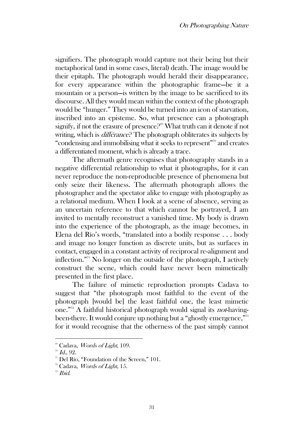signifiers. The photograph would capture not their being but their metaphorical (and in some cases, literal) death. The image would be their epitaph. The photograph would herald their disappearance, for every appearance within the photographic frame—be it a mountain or a person—is written by the image to be sacrificed to its discourse. All they would mean within the context of the photograph would be "hunger." They would be turned into an icon of starvation, inscribed into an episteme. So, what presence can a photograph signify, if not the erasure of presence? $6^{9}$  What truth can it denote if not writing, which is *différance*? The photograph obliterates its subjects by "condensing and immobilising what it seeks to represent"<sup>70</sup> and creates a differentiated moment, which is already a trace.

The aftermath genre recognises that photography stands in a negative differential relationship to what it photographs, for it can never reproduce the non-reproducible presence of phenomena but only seize their likeness. The aftermath photograph allows the photographer and the spectator alike to engage with photography as a relational medium. When I look at a scene of absence, serving as an uncertain reference to that which cannot be portrayed, I am invited to mentally reconstruct a vanished time. My body is drawn into the experience of the photograph, as the image becomes, in Elena del Río's words, "translated into a bodily response . . . body and image no longer function as discrete units, but as surfaces in contact, engaged in a constant activity of reciprocal re-alignment and inflection."<sup>71</sup> No longer on the outside of the photograph, I actively construct the scene, which could have never been mimetically presented in the first place.

The failure of mimetic reproduction prompts Cadava to suggest that "the photograph most faithful to the event of the photograph [would be] the least faithful one, the least mimetic one."<sup>72</sup> A faithful historical photograph would signal its not-havingbeen-there. It would conjure up nothing but a "ghostly emergence,"<sup>73</sup> for it would recognise that the otherness of the past simply cannot

<sup>&</sup>lt;sup>®</sup> Cadava, *Words of Light*, 109.

 $\sqrt[70]{1}$  Id., 92.

<sup>&</sup>lt;sup>71</sup> Del Río, "Foundation of the Screen," 101.

 $72$  Cadava, *Words of Light*, 15.

 $73$  *Ibid.*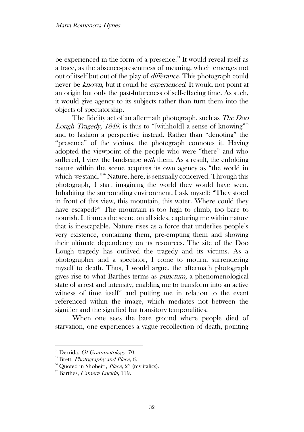be experienced in the form of a presence.<sup>74</sup> It would reveal itself as a trace, as the absence-presentness of meaning, which emerges not out of itself but out of the play of différance. This photograph could never be known, but it could be experienced. It would not point at an origin but only the past-futureness of self-effacing time. As such, it would give agency to its subjects rather than turn them into the objects of spectatorship.

The fidelity act of an aftermath photograph, such as *The Doo* Lough Tragedy, 1849, is thus to "[withhold] a sense of knowing"<sup>75</sup> and to fashion a perspective instead. Rather than "denoting" the "presence" of the victims, the photograph connotes it. Having adopted the viewpoint of the people who were "there" and who suffered, I view the landscape *with* them. As a result, the enfolding nature within the scene acquires its own agency as "the world in which we stand."<sup>76</sup> Nature, here, is sensually conceived. Through this photograph, I start imagining the world they would have seen. Inhabiting the surrounding environment, I ask myself: "They stood in front of this view, this mountain, this water. Where could they have escaped?" The mountain is too high to climb, too bare to nourish. It frames the scene on all sides, capturing me within nature that is inescapable. Nature rises as a force that underlies people's very existence, containing them, pre-empting them and showing their ultimate dependency on its resources. The site of the Doo Lough tragedy has outlived the tragedy and its victims. As a photographer and a spectator, I come to mourn, surrendering myself to death. Thus, I would argue, the aftermath photograph gives rise to what Barthes terms as punctum, a phenomenological state of arrest and intensity, enabling me to transform into an active witness of time itself<sup> $7$ </sup> and putting me in relation to the event referenced within the image, which mediates not between the signifier and the signified but transitory temporalities.

When one sees the bare ground where people died of starvation, one experiences a vague recollection of death, pointing

 $74$  Derrida, *Of Grammatology*, 70.

 $\overline{5}$ <sup>35</sup> Brett, *Photography and Place*, 6.

 $76$  Quoted in Shobeiri, *Place*, 23 (my italics).

<sup>77</sup> Barthes, Camera Lucida, 119.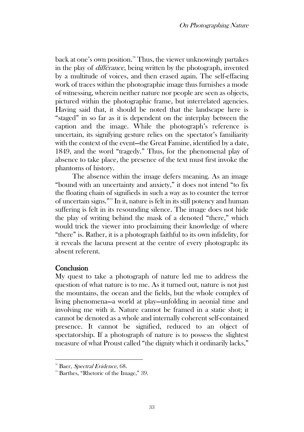back at one's own position.<sup>78</sup> Thus, the viewer unknowingly partakes in the play of différance, being written by the photograph, invented by a multitude of voices, and then erased again. The self-effacing work of traces within the photographic image thus furnishes a mode of witnessing, wherein neither nature nor people are seen as objects, pictured within the photographic frame, but interrelated agencies. Having said that, it should be noted that the landscape here is "staged" in so far as it is dependent on the interplay between the caption and the image. While the photograph's reference is uncertain, its signifying gesture relies on the spectator's familiarity with the context of the event—the Great Famine, identified by a date, 1849, and the word "tragedy." Thus, for the phenomenal play of absence to take place, the presence of the text must first invoke the phantoms of history.

The absence within the image defers meaning. As an image "bound with an uncertainty and anxiety," it does not intend "to fix the floating chain of signifieds in such a way as to counter the terror of uncertain signs."<sup>79</sup> In it, nature is felt in its still potency and human suffering is felt in its resounding silence. The image does not hide the play of writing behind the mask of a denoted "there," which would trick the viewer into proclaiming their knowledge of where "there" is. Rather, it is a photograph faithful to its own infidelity, for it reveals the lacuna present at the centre of every photograph: its absent referent.

## **Conclusion**

My quest to take a photograph of nature led me to address the question of what nature is to me. As it turned out, nature is not just the mountains, the ocean and the fields, but the whole complex of living phenomena—a world at play—unfolding in aeonial time and involving me with it. Nature cannot be framed in a static shot; it cannot be denoted as a whole and internally coherent self-contained presence. It cannot be signified, reduced to an object of spectatorship. If a photograph of nature is to possess the slightest measure of what Proust called "the dignity which it ordinarily lacks,"

<sup>&</sup>lt;sup>78</sup> Baer, Spectral Evidence, 68.

 $\degree$  Barthes, "Rhetoric of the Image," 39.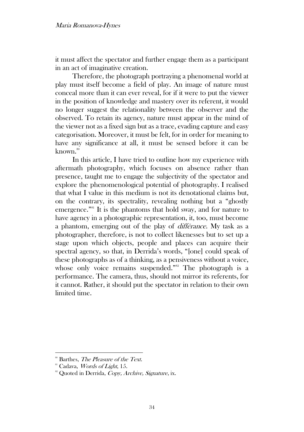it must affect the spectator and further engage them as a participant in an act of imaginative creation.

Therefore, the photograph portraying a phenomenal world at play must itself become a field of play. An image of nature must conceal more than it can ever reveal, for if it were to put the viewer in the position of knowledge and mastery over its referent, it would no longer suggest the relationality between the observer and the observed. To retain its agency, nature must appear in the mind of the viewer not as a fixed sign but as a trace, evading capture and easy categorisation. Moreover, it must be felt, for in order for meaning to have any significance at all, it must be sensed before it can be known.<sup>80</sup>

In this article, I have tried to outline how my experience with aftermath photography, which focuses on absence rather than presence, taught me to engage the subjectivity of the spectator and explore the phenomenological potential of photography. I realised that what I value in this medium is not its denotational claims but, on the contrary, its spectrality, revealing nothing but a "ghostly emergence."<sup>81</sup> It is the phantoms that hold sway, and for nature to have agency in a photographic representation, it, too, must become a phantom, emerging out of the play of différance. My task as a photographer, therefore, is not to collect likenesses but to set up a stage upon which objects, people and places can acquire their spectral agency, so that, in Derrida's words, "[one] could speak of these photographs as of a thinking, as a pensiveness without a voice, whose only voice remains suspended."<sup>82</sup> The photograph is a performance. The camera, thus, should not mirror its referents, for it cannot. Rather, it should put the spectator in relation to their own limited time.

<sup>&</sup>lt;sup>80</sup> Barthes, *The Pleasure of the Text*.

<sup>&</sup>lt;sup>81</sup> Cadava, *Words of Light*, 15.

<sup>&</sup>lt;sup>82</sup> Quoted in Derrida, Copy, Archive, Signature, ix.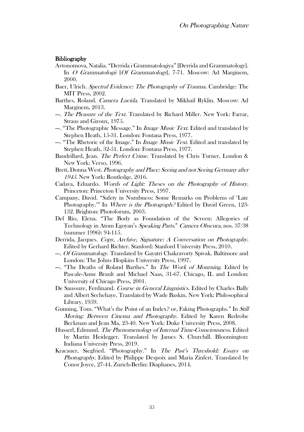#### **Bibliography**

- Avtonomova, Natalia. "Derrida i Grammatologiya" [Derrida and Grammatology]. In O Grammatologii [Of Grammatology], 7-71. Moscow: Ad Marginem, 2000.
- Baer, Ulrich. Spectral Evidence: The Photography of Trauma. Cambridge: The MIT Press, 2002.
- Barthes, Roland. Camera Lucida. Translated by Mikhail Ryklin. Moscow: Ad Marginem, 2013.
- --. The Pleasure of the Text. Translated by Richard Miller. New York: Farrar, Straus and Giroux, 1975.
- --. "The Photographic Message." In *Image Music Text*. Edited and translated by Stephen Heath, 15-31. London: Fontana Press, 1977.
- --. "The Rhetoric of the Image." In *Image Music Text*. Edited and translated by Stephen Heath, 32-51. London: Fontana Press, 1977.
- Baudrillard, Jean. *The Perfect Crime*. Translated by Chris Turner. London & New York: Verso, 1996.
- Brett, Donna West. Photography and Place: Seeing and not Seeing Germany after <sup>1945</sup>. New York: Routledge, 2016.
- Cadava, Eduardo. Words of Light: Theses on the Photography of History. Princeton: Princeton University Press, 1997.
- Campany, David. "Safety in Numbness: Some Remarks on Problems of 'Late Photography." In Where is the Photograph? Edited by David Green, 123-132. Brighton: Photoforum, 2003.
- Del Río, Elena. "The Body as Foundation of the Screen: Allegories of Technology in Atom Egoyan's Speaking Parts." Camera Obscura, nos. 37/38 (summer 1996): 94-115.
- Derrida, Jacques. Copy, Archive, Signature: A Conversation on Photography. Edited by Gerhard Richter. Stanford: Stanford University Press, 2010.
- --. *Of Grammatology*. Translated by Gayatri Chakravorty Spivak. Baltimore and London: The Johns Hopkins University Press, 1997.
- --. "The Deaths of Roland Barthes." In The Work of Mourning. Edited by Pascale-Anne Brault and Michael Naas, 31-67. Chicago, IL and London: University of Chicago Press, 2001.
- De Saussure, Ferdinand. Course in General Linguistics. Edited by Charles Bally and Albert Sechehaye. Translated by Wade Baskin. New York: Philosophical Library, 1959.
- Gunning, Tom. "What's the Point of an Index? or, Faking Photographs." In Still Moving: Between Cinema and Photography. Edited by Karen Redrobe Beckman and Jean Ma, 23-40. New York: Duke University Press, 2008.
- Husserl, Edmund. The Phenomenology of Internal Time-Consciousness. Edited by Martin Heidegger. Translated by James S. Churchill. Bloomington: Indiana University Press, 2019.
- Kracauer, Siegfried. "Photography." In The Past's Threshold: Essays on Photography. Edited by Philippe Despoix and Maria Zinfert. Translated by Conor Joyce, 27-44. Zurich-Berlin: Diaphanes, 2014.